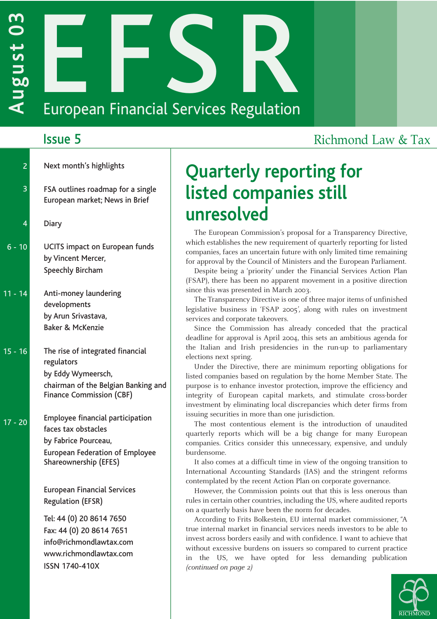# **AUGUST 2020**<br> **AUGUST 2020**<br>
European Financial Services Regulation

| $\overline{2}$ | Next month's highlights                                                                                                                                   |
|----------------|-----------------------------------------------------------------------------------------------------------------------------------------------------------|
| 3              | FSA outlines roadmap for a single<br>European market; News in Brief                                                                                       |
| 4              | <b>Diary</b>                                                                                                                                              |
| $6 - 10$       | <b>UCITS impact on European funds</b><br>by Vincent Mercer,<br><b>Speechly Bircham</b>                                                                    |
| $11 - 14$      | Anti-money laundering<br>developments<br>by Arun Srivastava,<br><b>Baker &amp; McKenzie</b>                                                               |
| $15 - 16$      | The rise of integrated financial<br>regulators<br>by Eddy Wymeersch,<br>chairman of the Belgian Banking and<br><b>Finance Commission (CBF)</b>            |
| $17 - 20$      | <b>Employee financial participation</b><br>faces tax obstacles<br>by Fabrice Pourceau,<br><b>European Federation of Employee</b><br>Shareownership (EFES) |
|                | <b>European Financial Services</b><br><b>Regulation (EFSR)</b>                                                                                            |
|                | Tel: 44 (0) 20 8614 7650<br>Fax: 44 (0) 20 8614 7651<br>info@richmondlawtax.com<br>www.richmondlawtax.com<br><b>ISSN 1740-410X</b>                        |

## **Issue 5** Richmond Law & Tax

# **Quarterly reporting for listed companies still unresolved**

The European Commission's proposal for a Transparency Directive, which establishes the new requirement of quarterly reporting for listed companies, faces an uncertain future with only limited time remaining for approval by the Council of Ministers and the European Parliament.

Despite being a 'priority' under the Financial Services Action Plan (FSAP), there has been no apparent movement in a positive direction since this was presented in March 2003.

The Transparency Directive is one of three major items of unfinished legislative business in 'FSAP 2005', along with rules on investment services and corporate takeovers.

Since the Commission has already conceded that the practical deadline for approval is April 2004, this sets an ambitious agenda for the Italian and Irish presidencies in the run-up to parliamentary elections next spring.

Under the Directive, there are minimum reporting obligations for listed companies based on regulation by the home Member State. The purpose is to enhance investor protection, improve the efficiency and integrity of European capital markets, and stimulate cross-border investment by eliminating local discrepancies which deter firms from issuing securities in more than one jurisdiction.

The most contentious element is the introduction of unaudited quarterly reports which will be a big change for many European companies. Critics consider this unnecessary, expensive, and unduly burdensome.

It also comes at a difficult time in view of the ongoing transition to International Accounting Standards (IAS) and the stringent reforms contemplated by the recent Action Plan on corporate governance.

However, the Commission points out that this is less onerous than rules in certain other countries, including the US, where audited reports on a quarterly basis have been the norm for decades.

According to Frits Bolkestein, EU internal market commissioner, "A true internal market in financial services needs investors to be able to invest across borders easily and with confidence. I want to achieve that without excessive burdens on issuers so compared to current practice in the US, we have opted for less demanding publication *(continued on page 2)*

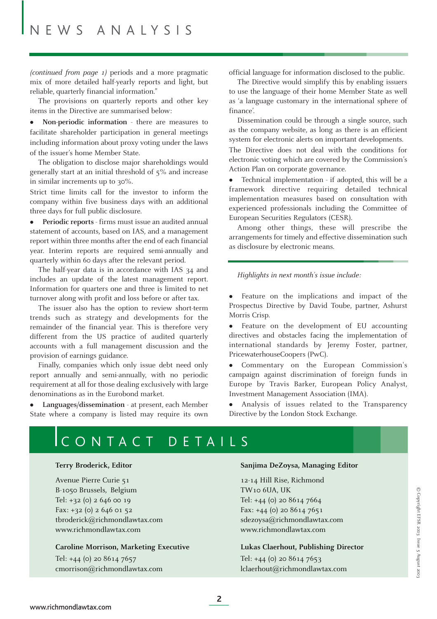*(continued from page 1)* periods and a more pragmatic mix of more detailed half-yearly reports and light, but reliable, quarterly financial information."

The provisions on quarterly reports and other key items in the Directive are summarised below:

• **Non-periodic information** - there are measures to facilitate shareholder participation in general meetings including information about proxy voting under the laws of the issuer's home Member State.

The obligation to disclose major shareholdings would generally start at an initial threshold of 5% and increase in similar increments up to 30%.

Strict time limits call for the investor to inform the company within five business days with an additional three days for full public disclosure.

" **Periodic reports** - firms must issue an audited annual statement of accounts, based on IAS, and a management report within three months after the end of each financial year. Interim reports are required semi-annually and quarterly within 60 days after the relevant period.

The half-year data is in accordance with IAS 34 and includes an update of the latest management report. Information for quarters one and three is limited to net turnover along with profit and loss before or after tax.

The issuer also has the option to review short-term trends such as strategy and developments for the remainder of the financial year. This is therefore very different from the US practice of audited quarterly accounts with a full management discussion and the provision of earnings guidance.

Finally, companies which only issue debt need only report annually and semi-annually, with no periodic requirement at all for those dealing exclusively with large denominations as in the Eurobond market.

Languages/dissemination - at present, each Member State where a company is listed may require its own official language for information disclosed to the public.

The Directive would simplify this by enabling issuers to use the language of their home Member State as well as 'a language customary in the international sphere of finance'.

Dissemination could be through a single source, such as the company website, as long as there is an efficient system for electronic alerts on important developments. The Directive does not deal with the conditions for electronic voting which are covered by the Commission's Action Plan on corporate governance.

• Technical implementation - if adopted, this will be a framework directive requiring detailed technical implementation measures based on consultation with experienced professionals including the Committee of European Securities Regulators (CESR).

Among other things, these will prescribe the arrangements for timely and effective dissemination such as disclosure by electronic means.

*Highlights in next month's issue include:*

• Feature on the implications and impact of the Prospectus Directive by David Toube, partner, Ashurst Morris Crisp.

• Feature on the development of EU accounting directives and obstacles facing the implementation of international standards by Jeremy Foster, partner, PricewaterhouseCoopers (PwC).

Commentary on the European Commission's campaign against discrimination of foreign funds in Europe by Travis Barker, European Policy Analyst, Investment Management Association (IMA).

Analysis of issues related to the Transparency Directive by the London Stock Exchange.

# CONTACT DETAILS

Avenue Pierre Curie 51 12-14 Hill Rise, Richmond B-1050 Brussels, Belgium TW10 6UA, UK Tel: +32 (0) 2 646 00 19 Tel: +44 (0) 20 8614 7664 Fax: +32 (0) 2 646 01 52 Fax: +44 (0) 20 8614 7651 tbroderick@richmondlawtax.com sdezoysa@richmondlawtax.com www.richmondlawtax.com www.richmondlawtax.com

#### **Caroline Morrison, Marketing Executive Lukas Claerhout, Publishing Director**

Tel: +44 (0) 20 8614 7657 Tel: +44 (0) 20 8614 7653 cmorrison@richmondlawtax.com lclaerhout@richmondlawtax.com

#### **Terry Broderick, Editor Sanjima DeZoysa, Managing Editor**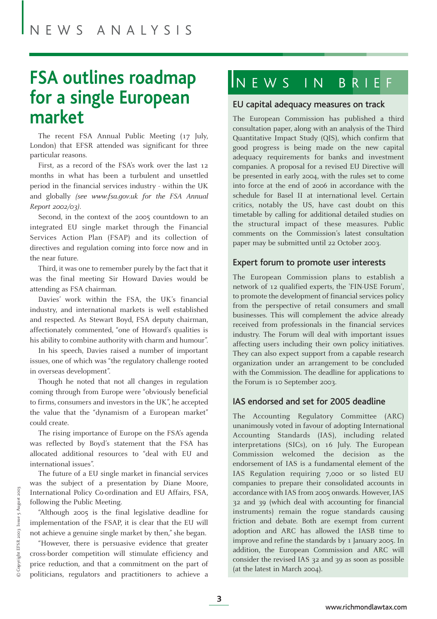# **FSA outlines roadmap for a single European market**

The recent FSA Annual Public Meeting (17 July, London) that EFSR attended was significant for three particular reasons.

First, as a record of the FSA's work over the last 12 months in what has been a turbulent and unsettled period in the financial services industry - within the UK and globally *(see www.fsa.gov.uk for the FSA Annual Report 2002/03).*

Second, in the context of the 2005 countdown to an integrated EU single market through the Financial Services Action Plan (FSAP) and its collection of directives and regulation coming into force now and in the near future.

Third, it was one to remember purely by the fact that it was the final meeting Sir Howard Davies would be attending as FSA chairman.

Davies' work within the FSA, the UK's financial industry, and international markets is well established and respected. As Stewart Boyd, FSA deputy chairman, affectionately commented, "one of Howard's qualities is his ability to combine authority with charm and humour".

In his speech, Davies raised a number of important issues, one of which was "the regulatory challenge rooted in overseas development".

Though he noted that not all changes in regulation coming through from Europe were "obviously beneficial to firms, consumers and investors in the UK", he accepted the value that the "dynamism of a European market" could create.

The rising importance of Europe on the FSA's agenda was reflected by Boyd's statement that the FSA has allocated additional resources to "deal with EU and international issues".

The future of a EU single market in financial services was the subject of a presentation by Diane Moore, International Policy Co-ordination and EU Affairs, FSA, following the Public Meeting.

"Although 2005 is the final legislative deadline for implementation of the FSAP, it is clear that the EU will not achieve a genuine single market by then," she began.

"However, there is persuasive evidence that greater cross-border competition will stimulate efficiency and price reduction, and that a commitment on the part of politicians, regulators and practitioners to achieve a

# INEWS IN BRIE

#### EU capital adequacy measures on track

The European Commission has published a third consultation paper, along with an analysis of the Third Quantitative Impact Study (QIS), which confirm that good progress is being made on the new capital adequacy requirements for banks and investment companies. A proposal for a revised EU Directive will be presented in early 2004, with the rules set to come into force at the end of 2006 in accordance with the schedule for Basel II at international level. Certain critics, notably the US, have cast doubt on this timetable by calling for additional detailed studies on the structural impact of these measures. Public comments on the Commission's latest consultation paper may be submitted until 22 October 2003.

#### Expert forum to promote user interests

The European Commission plans to establish a network of 12 qualified experts, the 'FIN-USE Forum', to promote the development of financial services policy from the perspective of retail consumers and small businesses. This will complement the advice already received from professionals in the financial services industry. The Forum will deal with important issues affecting users including their own policy initiatives. They can also expect support from a capable research organization under an arrangement to be concluded with the Commission. The deadline for applications to the Forum is 10 September 2003.

#### IAS endorsed and set for 2005 deadline

The Accounting Regulatory Committee (ARC) unanimously voted in favour of adopting International Accounting Standards (IAS), including related interpretations (SICs), on 16 July. The European Commission welcomed the decision as the endorsement of IAS is a fundamental element of the IAS Regulation requiring 7,000 or so listed EU companies to prepare their consolidated accounts in accordance with IAS from 2005 onwards. However, IAS 32 and 39 (which deal with accounting for financial instruments) remain the rogue standards causing friction and debate. Both are exempt from current adoption and ARC has allowed the IASB time to improve and refine the standards by 1 January 2005. In addition, the European Commission and ARC will consider the revised IAS 32 and 39 as soon as possible (at the latest in March 2004).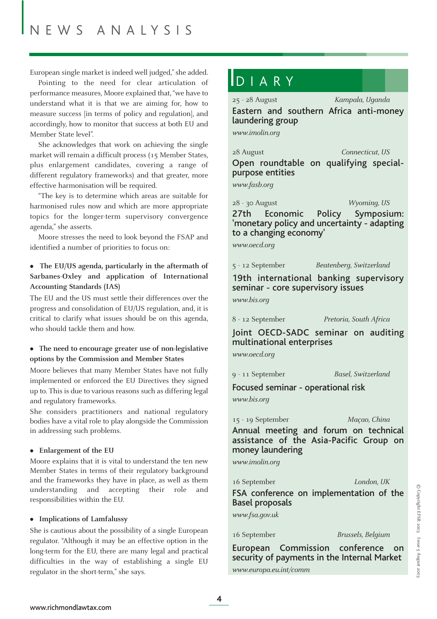European single market is indeed well judged," she added.

Pointing to the need for clear articulation of performance measures, Moore explained that, "we have to understand what it is that we are aiming for, how to measure success [in terms of policy and regulation], and accordingly, how to monitor that success at both EU and Member State level".

She acknowledges that work on achieving the single market will remain a difficult process (15 Member States, plus enlargement candidates, covering a range of different regulatory frameworks) and that greater, more effective harmonisation will be required.

"The key is to determine which areas are suitable for harmonised rules now and which are more appropriate topics for the longer-term supervisory convergence agenda," she asserts.

Moore stresses the need to look beyond the FSAP and identified a number of priorities to focus on:

#### • The EU/US agenda, particularly in the aftermath of **Sarbanes-Oxley and application of International Accounting Standards (IAS)**

The EU and the US must settle their differences over the progress and consolidation of EU/US regulation, and, it is critical to clarify what issues should be on this agenda, who should tackle them and how.

#### " **The need to encourage greater use of non-legislative options by the Commission and Member States**

Moore believes that many Member States have not fully implemented or enforced the EU Directives they signed up to. This is due to various reasons such as differing legal and regulatory frameworks.

She considers practitioners and national regulatory bodies have a vital role to play alongside the Commission in addressing such problems.

#### $\bullet$  **Enlargement of the EU**

Moore explains that it is vital to understand the ten new Member States in terms of their regulatory background and the frameworks they have in place, as well as them understanding and accepting their role and responsibilities within the EU.

#### $\bullet$  Implications of Lamfalussy

She is cautious about the possibility of a single European regulator. "Although it may be an effective option in the long-term for the EU, there are many legal and practical difficulties in the way of establishing a single EU regulator in the short-term," she says.

## DIARY

25 - 28 August *Kampala, Uganda* Eastern and southern Africa anti-money laundering group

*www.imolin.org*

28 August *Connecticut, US*

Open roundtable on qualifying specialpurpose entities

*www.fasb.org*

28 - 30 August *Wyoming, US* 27th Economic Policy Symposium: 'monetary policy and uncertainty - adapting to a changing economy'

*www.oecd.org*

5 - 12 September *Beatenberg, Switzerland*

19th international banking supervisory seminar - core supervisory issues

*www.bis.org*

8 - 12 September *Pretoria, South Africa*

Joint OECD-SADC seminar on auditing multinational enterprises

*www.oecd.org*

9 - 11 September *Basel, Switzerland*

Focused seminar - operational risk

*www.bis.org*

15 - 19 September *Maçao, China* Annual meeting and forum on technical assistance of the Asia-Pacific Group on money laundering

*www.imolin.org*

16 September *London, UK*

FSA conference on implementation of the Basel proposals

*www.fsa.gov.uk*

16 September *Brussels, Belgium*

European Commission conference on security of payments in the Internal Market *www.europa.eu.int/comm*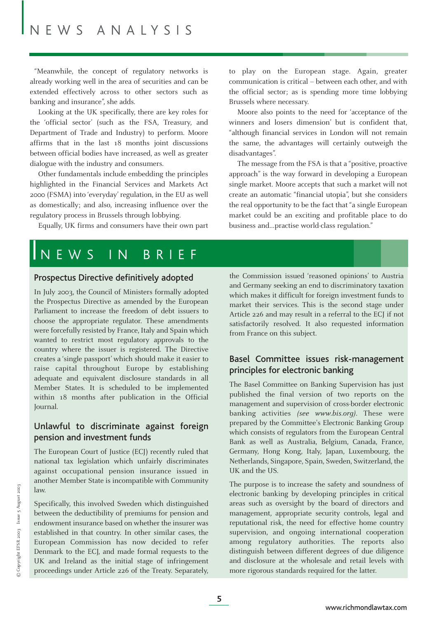"Meanwhile, the concept of regulatory networks is already working well in the area of securities and can be extended effectively across to other sectors such as banking and insurance", she adds.

Looking at the UK specifically, there are key roles for the 'official sector' (such as the FSA, Treasury, and Department of Trade and Industry) to perform. Moore affirms that in the last 18 months joint discussions between official bodies have increased, as well as greater dialogue with the industry and consumers.

Other fundamentals include embedding the principles highlighted in the Financial Services and Markets Act 2000 (FSMA) into 'everyday' regulation, in the EU as well as domestically; and also, increasing influence over the regulatory process in Brussels through lobbying.

Equally, UK firms and consumers have their own part

to play on the European stage. Again, greater communication is critical – between each other, and with the official sector; as is spending more time lobbying Brussels where necessary.

Moore also points to the need for 'acceptance of the winners and losers dimension' but is confident that, "although financial services in London will not remain the same, the advantages will certainly outweigh the disadvantages".

The message from the FSA is that a "positive, proactive approach" is the way forward in developing a European single market. Moore accepts that such a market will not create an automatic "financial utopia", but she considers the real opportunity to be the fact that "a single European market could be an exciting and profitable place to do business and…practise world-class regulation."

### NEWS IN BRIEF

#### Prospectus Directive definitively adopted

In July 2003, the Council of Ministers formally adopted the Prospectus Directive as amended by the European Parliament to increase the freedom of debt issuers to choose the appropriate regulator. These amendments were forcefully resisted by France, Italy and Spain which wanted to restrict most regulatory approvals to the country where the issuer is registered. The Directive creates a 'single passport' which should make it easier to raise capital throughout Europe by establishing adequate and equivalent disclosure standards in all Member States. It is scheduled to be implemented within 18 months after publication in the Official Journal.

#### Unlawful to discriminate against foreign pension and investment funds

The European Court of Justice (ECJ) recently ruled that national tax legislation which unfairly discriminates against occupational pension insurance issued in another Member State is incompatible with Community law.

Specifically, this involved Sweden which distinguished between the deductibility of premiums for pension and endowment insurance based on whether the insurer was established in that country. In other similar cases, the European Commission has now decided to refer Denmark to the ECJ, and made formal requests to the UK and Ireland as the initial stage of infringement proceedings under Article 226 of the Treaty. Separately,

the Commission issued 'reasoned opinions' to Austria and Germany seeking an end to discriminatory taxation which makes it difficult for foreign investment funds to market their services. This is the second stage under Article 226 and may result in a referral to the ECJ if not satisfactorily resolved. It also requested information from France on this subject.

#### Basel Committee issues risk-management principles for electronic banking

The Basel Committee on Banking Supervision has just published the final version of two reports on the management and supervision of cross-border electronic banking activities *(see www.bis.org)*. These were prepared by the Committee's Electronic Banking Group which consists of regulators from the European Central Bank as well as Australia, Belgium, Canada, France, Germany, Hong Kong, Italy, Japan, Luxembourg, the Netherlands, Singapore, Spain, Sweden, Switzerland, the UK and the US.

The purpose is to increase the safety and soundness of electronic banking by developing principles in critical areas such as oversight by the board of directors and management, appropriate security controls, legal and reputational risk, the need for effective home country supervision, and ongoing international cooperation among regulatory authorities. The reports also distinguish between different degrees of due diligence and disclosure at the wholesale and retail levels with more rigorous standards required for the latter.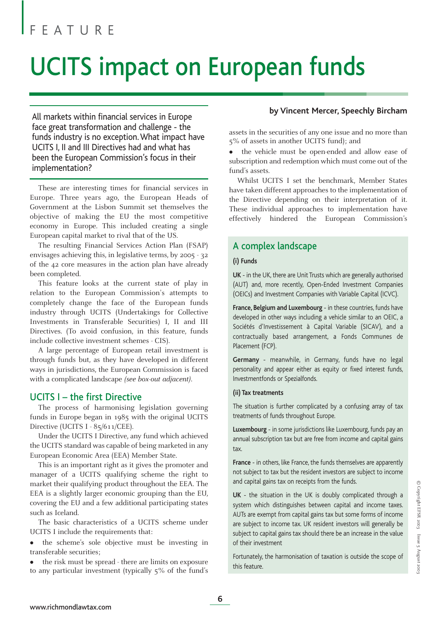# UCITS impact on European funds

All markets within financial services in Europe face great transformation and challenge - the funds industry is no exception. What impact have UCITS I, II and III Directives had and what has been the European Commission's focus in their implementation?

These are interesting times for financial services in Europe. Three years ago, the European Heads of Government at the Lisbon Summit set themselves the objective of making the EU the most competitive economy in Europe. This included creating a single European capital market to rival that of the US.

The resulting Financial Services Action Plan (FSAP) envisages achieving this, in legislative terms, by 2005 - 32 of the 42 core measures in the action plan have already been completed.

This feature looks at the current state of play in relation to the European Commission's attempts to completely change the face of the European funds industry through UCITS (Undertakings for Collective Investments in Transferable Securities) I, II and III Directives. (To avoid confusion, in this feature, funds include collective investment schemes - CIS).

A large percentage of European retail investment is through funds but, as they have developed in different ways in jurisdictions, the European Commission is faced with a complicated landscape *(see box-out adjacent)*.

#### UCITS I – the first Directive

The process of harmonising legislation governing funds in Europe began in 1985 with the original UCITS Directive (UCITS I - 85/611/CEE).

Under the UCITS I Directive, any fund which achieved the UCITS standard was capable of being marketed in any European Economic Area (EEA) Member State.

This is an important right as it gives the promoter and manager of a UCITS qualifying scheme the right to market their qualifying product throughout the EEA. The EEA is a slightly larger economic grouping than the EU, covering the EU and a few additional participating states such as Iceland.

The basic characteristics of a UCITS scheme under UCITS I include the requirements that:

• the scheme's sole objective must be investing in transferable securities;

• the risk must be spread - there are limits on exposure to any particular investment (typically 5% of the fund's

#### **by Vincent Mercer, Speechly Bircham**

assets in the securities of any one issue and no more than 5% of assets in another UCITS fund); and

the vehicle must be open-ended and allow ease of subscription and redemption which must come out of the fund's assets.

Whilst UCITS I set the benchmark, Member States have taken different approaches to the implementation of the Directive depending on their interpretation of it. These individual approaches to implementation have effectively hindered the European Commission's

#### A complex landscape

#### **(i) Funds**

**UK** - in the UK, there are Unit Trusts which are generally authorised (AUT) and, more recently, Open-Ended Investment Companies (OEICs) and Investment Companies with Variable Capital (ICVC).

**France, Belgium and Luxembourg** - in these countries, funds have developed in other ways including a vehicle similar to an OEIC, a Sociétés d'Investissement à Capital Variable (SICAV), and a contractually based arrangement, a Fonds Communes de Placement (FCP).

**Germany** - meanwhile, in Germany, funds have no legal personality and appear either as equity or fixed interest funds, Investmentfonds or Spezialfonds.

#### **(ii) Tax treatments**

The situation is further complicated by a confusing array of tax treatments of funds throughout Europe.

**Luxembourg** - in some jurisdictions like Luxembourg, funds pay an annual subscription tax but are free from income and capital gains tax.

**France** - in others, like France, the funds themselves are apparently not subject to tax but the resident investors are subject to income and capital gains tax on receipts from the funds.

**UK** - the situation in the UK is doubly complicated through a system which distinguishes between capital and income taxes. AUTs are exempt from capital gains tax but some forms of income are subject to income tax. UK resident investors will generally be subject to capital gains tax should there be an increase in the value of their investment

Fortunately, the harmonisation of taxation is outside the scope of this feature.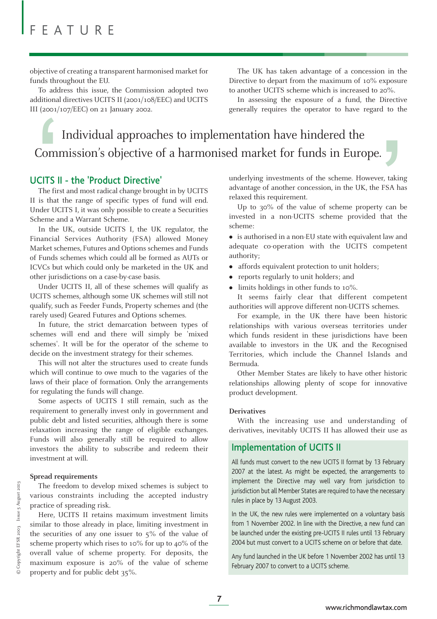objective of creating a transparent harmonised market for funds throughout the EU.

To address this issue, the Commission adopted two additional directives UCITS II (2001/108/EEC) and UCITS III (2001/107/EEC) on 21 January 2002.

The UK has taken advantage of a concession in the Directive to depart from the maximum of 10% exposure to another UCITS scheme which is increased to 20%.

In assessing the exposure of a fund, the Directive generally requires the operator to have regard to the

# Individual approaches to implementation have hindered the Commission's objective of a harmonised market for funds in Europe. (2001/107/EEC) on 21 january 2002.<br>
Individual approaches to implementation have hindered the<br>
Commission's objective of a harmonised market for funds in Europe.<br>
CITS II - the 'Product Directive' underlying investments of

#### UCITS II - the 'Product Directive'

The first and most radical change brought in by UCITS II is that the range of specific types of fund will end. Under UCITS I, it was only possible to create a Securities Scheme and a Warrant Scheme.

In the UK, outside UCITS I, the UK regulator, the Financial Services Authority (FSA) allowed Money Market schemes, Futures and Options schemes and Funds of Funds schemes which could all be formed as AUTs or ICVCs but which could only be marketed in the UK and other jurisdictions on a case-by-case basis.

Under UCITS II, all of these schemes will qualify as UCITS schemes, although some UK schemes will still not qualify, such as Feeder Funds, Property schemes and (the rarely used) Geared Futures and Options schemes.

In future, the strict demarcation between types of schemes will end and there will simply be 'mixed schemes'. It will be for the operator of the scheme to decide on the investment strategy for their schemes.

This will not alter the structures used to create funds which will continue to owe much to the vagaries of the laws of their place of formation. Only the arrangements for regulating the funds will change.

Some aspects of UCITS I still remain, such as the requirement to generally invest only in government and public debt and listed securities, although there is some relaxation increasing the range of eligible exchanges. Funds will also generally still be required to allow investors the ability to subscribe and redeem their investment at will.

#### **Spread requirements**

The freedom to develop mixed schemes is subject to various constraints including the accepted industry practice of spreading risk.

Here, UCITS II retains maximum investment limits similar to those already in place, limiting investment in the securities of any one issuer to  $5\%$  of the value of scheme property which rises to 10% for up to 40% of the overall value of scheme property. For deposits, the maximum exposure is 20% of the value of scheme property and for public debt 35%.

underlying investments of the scheme. However, taking advantage of another concession, in the UK, the FSA has relaxed this requirement.

Up to 30% of the value of scheme property can be invested in a non-UCITS scheme provided that the scheme:

• is authorised in a non-EU state with equivalent law and adequate co-operation with the UCITS competent authority;

- affords equivalent protection to unit holders;
- reports regularly to unit holders; and
- limits holdings in other funds to 10%.

It seems fairly clear that different competent authorities will approve different non-UCITS schemes.

For example, in the UK there have been historic relationships with various overseas territories under which funds resident in these jurisdictions have been available to investors in the UK and the Recognised Territories, which include the Channel Islands and Bermuda.

Other Member States are likely to have other historic relationships allowing plenty of scope for innovative product development.

#### **Derivatives**

With the increasing use and understanding of derivatives, inevitably UCITS II has allowed their use as

#### Implementation of UCITS II

All funds must convert to the new UCITS II format by 13 February 2007 at the latest. As might be expected, the arrangements to implement the Directive may well vary from jurisdiction to jurisdiction but all Member States are required to have the necessary rules in place by 13 August 2003.

In the UK, the new rules were implemented on a voluntary basis from 1 November 2002. In line with the Directive, a new fund can be launched under the existing pre-UCITS II rules until 13 February 2004 but must convert to a UCITS scheme on or before that date.

Any fund launched in the UK before 1 November 2002 has until 13 February 2007 to convert to a UCITS scheme.

**7**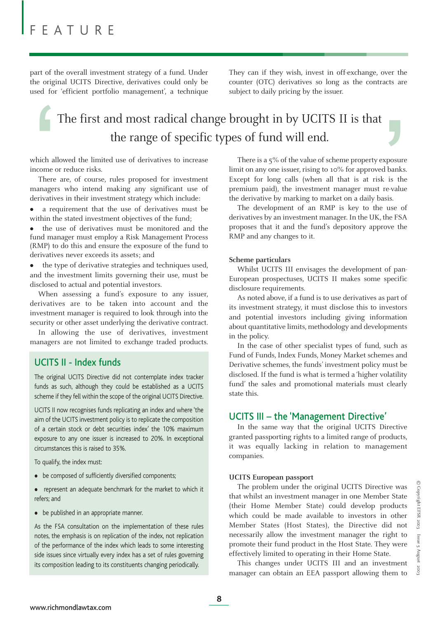part of the overall investment strategy of a fund. Under the original UCITS Directive, derivatives could only be used for 'efficient portfolio management', a technique They can if they wish, invest in off-exchange, over the counter (OTC) derivatives so long as the contracts are subject to daily pricing by the issuer.

# The first and most radical change brought in by UCITS II is that the range of specific types of fund will end. The first and most radical change brought in by UCITS II is that<br>the range of specific types of fund will end.<br>which allowed the limited use of derivatives to increase<br>mecome or reduce risks.<br>Inter are, of course, rules pr

which allowed the limited use of derivatives to increase income or reduce risks.

There are, of course, rules proposed for investment managers who intend making any significant use of derivatives in their investment strategy which include:

• a requirement that the use of derivatives must be within the stated investment objectives of the fund;

the use of derivatives must be monitored and the fund manager must employ a Risk Management Process (RMP) to do this and ensure the exposure of the fund to derivatives never exceeds its assets; and

the type of derivative strategies and techniques used, and the investment limits governing their use, must be disclosed to actual and potential investors.

When assessing a fund's exposure to any issuer, derivatives are to be taken into account and the investment manager is required to look through into the security or other asset underlying the derivative contract.

In allowing the use of derivatives, investment managers are not limited to exchange traded products.

#### UCITS II - Index funds

The original UCITS Directive did not contemplate index tracker funds as such, although they could be established as a UCITS scheme if they fell within the scope of the original UCITS Directive.

UCITS II now recognises funds replicating an index and where 'the aim of the UCITS investment policy is to replicate the composition of a certain stock or debt securities index' the 10% maximum exposure to any one issuer is increased to 20%. In exceptional circumstances this is raised to 35%.

To qualify, the index must:

- be composed of sufficiently diversified components;
- represent an adequate benchmark for the market to which it refers; and
- be published in an appropriate manner.

As the FSA consultation on the implementation of these rules notes, the emphasis is on replication of the index, not replication of the performance of the index which leads to some interesting side issues since virtually every index has a set of rules governing its composition leading to its constituents changing periodically.

There is a 5% of the value of scheme property exposure limit on any one issuer, rising to 10% for approved banks. Except for long calls (when all that is at risk is the premium paid), the investment manager must re-value the derivative by marking to market on a daily basis.

The development of an RMP is key to the use of derivatives by an investment manager. In the UK, the FSA proposes that it and the fund's depository approve the RMP and any changes to it.

#### **Scheme particulars**

Whilst UCITS III envisages the development of pan-European prospectuses, UCITS II makes some specific disclosure requirements.

As noted above, if a fund is to use derivatives as part of its investment strategy, it must disclose this to investors and potential investors including giving information about quantitative limits, methodology and developments in the policy.

In the case of other specialist types of fund, such as Fund of Funds, Index Funds, Money Market schemes and Derivative schemes, the funds' investment policy must be disclosed. If the fund is what is termed a 'higher volatility fund' the sales and promotional materials must clearly state this.

#### UCITS III – the 'Management Directive'

In the same way that the original UCITS Directive granted passporting rights to a limited range of products, it was equally lacking in relation to management companies.

#### **UCITS European passport**

The problem under the original UCITS Directive was that whilst an investment manager in one Member State (their Home Member State) could develop products which could be made available to investors in other Member States (Host States), the Directive did not necessarily allow the investment manager the right to promote their fund product in the Host State. They were effectively limited to operating in their Home State.

This changes under UCITS III and an investment manager can obtain an EEA passport allowing them to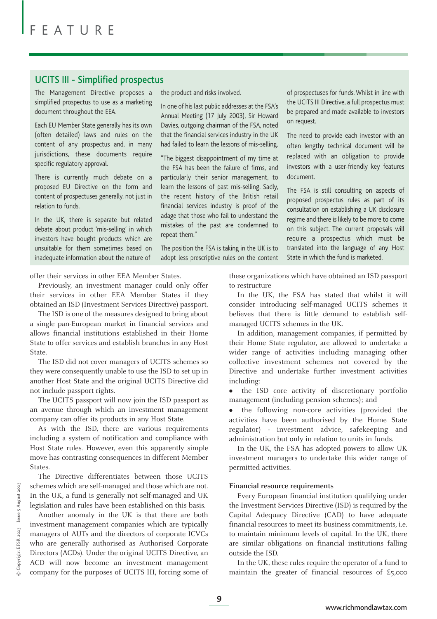#### UCITS III - Simplified prospectus

The Management Directive proposes a simplified prospectus to use as a marketing document throughout the EEA.

Each EU Member State generally has its own (often detailed) laws and rules on the content of any prospectus and, in many jurisdictions, these documents require specific regulatory approval.

There is currently much debate on a proposed EU Directive on the form and content of prospectuses generally, not just in relation to funds.

In the UK, there is separate but related debate about product 'mis-selling' in which investors have bought products which are unsuitable for them sometimes based on inadequate information about the nature of

the product and risks involved.

In one of his last public addresses at the FSA's Annual Meeting (17 July 2003), Sir Howard Davies, outgoing chairman of the FSA, noted that the financial services industry in the UK had failed to learn the lessons of mis-selling.

"The biggest disappointment of my time at the FSA has been the failure of firms, and particularly their senior management, to learn the lessons of past mis-selling. Sadly, the recent history of the British retail financial services industry is proof of the adage that those who fail to understand the mistakes of the past are condemned to repeat them."

The position the FSA is taking in the UK is to adopt less prescriptive rules on the content of prospectuses for funds. Whilst in line with the UCITS III Directive, a full prospectus must be prepared and made available to investors on request.

The need to provide each investor with an often lengthy technical document will be replaced with an obligation to provide investors with a user-friendly key features document.

The FSA is still consulting on aspects of proposed prospectus rules as part of its consultation on establishing a UK disclosure regime and there is likely to be more to come on this subject. The current proposals will require a prospectus which must be translated into the language of any Host State in which the fund is marketed.

offer their services in other EEA Member States.

Previously, an investment manager could only offer their services in other EEA Member States if they obtained an ISD (Investment Services Directive) passport.

The ISD is one of the measures designed to bring about a single pan-European market in financial services and allows financial institutions established in their Home State to offer services and establish branches in any Host State.

The ISD did not cover managers of UCITS schemes so they were consequently unable to use the ISD to set up in another Host State and the original UCITS Directive did not include passport rights.

The UCITS passport will now join the ISD passport as an avenue through which an investment management company can offer its products in any Host State.

As with the ISD, there are various requirements including a system of notification and compliance with Host State rules. However, even this apparently simple move has contrasting consequences in different Member States.

The Directive differentiates between those UCITS schemes which are self-managed and those which are not. In the UK, a fund is generally not self-managed and UK legislation and rules have been established on this basis.

Another anomaly in the UK is that there are both investment management companies which are typically managers of AUTs and the directors of corporate ICVCs who are generally authorised as Authorised Corporate Directors (ACDs). Under the original UCITS Directive, an ACD will now become an investment management company for the purposes of UCITS III, forcing some of

these organizations which have obtained an ISD passport to restructure

In the UK, the FSA has stated that whilst it will consider introducing self-managed UCITS schemes it believes that there is little demand to establish selfmanaged UCITS schemes in the UK.

In addition, management companies, if permitted by their Home State regulator, are allowed to undertake a wider range of activities including managing other collective investment schemes not covered by the Directive and undertake further investment activities including:

• the ISD core activity of discretionary portfolio management (including pension schemes); and

• the following non-core activities (provided the activities have been authorised by the Home State regulator) - investment advice, safekeeping and administration but only in relation to units in funds.

In the UK, the FSA has adopted powers to allow UK investment managers to undertake this wider range of permitted activities.

#### **Financial resource requirements**

Every European financial institution qualifying under the Investment Services Directive (ISD) is required by the Capital Adequacy Directive (CAD) to have adequate financial resources to meet its business commitments, i.e. to maintain minimum levels of capital. In the UK, there are similar obligations on financial institutions falling outside the ISD.

In the UK, these rules require the operator of a fund to maintain the greater of financial resources of £5,000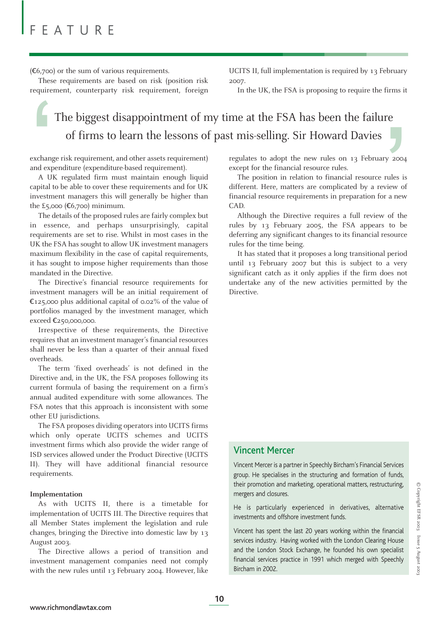$(6,700)$  or the sum of various requirements.

These requirements are based on risk (position risk requirement, counterparty risk requirement, foreign UCITS II, full implementation is required by 13 February 2007.

In the UK, the FSA is proposing to require the firms it

## The biggest disappointment of my time at the FSA has been the failure of firms to learn the lessons of past mis-selling. Sir Howard Davies

exchange risk requirement, and other assets requirement) and expenditure (expenditure-based requirement).

A UK regulated firm must maintain enough liquid capital to be able to cover these requirements and for UK investment managers this will generally be higher than the £5,000  $(E6,700)$  minimum. exchanged<br>and exp<br>apital t<br>investm

The details of the proposed rules are fairly complex but in essence, and perhaps unsurprisingly, capital requirements are set to rise. Whilst in most cases in the UK the FSA has sought to allow UK investment managers maximum flexibility in the case of capital requirements, it has sought to impose higher requirements than those mandated in the Directive.

The Directive's financial resource requirements for investment managers will be an initial requirement of  $E$ 125,000 plus additional capital of 0.02% of the value of portfolios managed by the investment manager, which exceed Ä250,000,000.

Irrespective of these requirements, the Directive requires that an investment manager's financial resources shall never be less than a quarter of their annual fixed overheads.

The term 'fixed overheads' is not defined in the Directive and, in the UK, the FSA proposes following its current formula of basing the requirement on a firm's annual audited expenditure with some allowances. The FSA notes that this approach is inconsistent with some other EU jurisdictions.

The FSA proposes dividing operators into UCITS firms which only operate UCITS schemes and UCITS investment firms which also provide the wider range of ISD services allowed under the Product Directive (UCITS II). They will have additional financial resource requirements.

#### **Implementation**

As with UCITS II, there is a timetable for implementation of UCITS III. The Directive requires that all Member States implement the legislation and rule changes, bringing the Directive into domestic law by 13 August 2003.

The Directive allows a period of transition and investment management companies need not comply with the new rules until 13 February 2004. However, like

regulates to adopt the new rules on 13 February 2004 except for the financial resource rules.

The position in relation to financial resource rules is different. Here, matters are complicated by a review of financial resource requirements in preparation for a new CAD. re<br>
y 2004<br>
rules is<br>
view of<br>
r a new<br>
c of the<br>
to be

Although the Directive requires a full review of the rules by 13 February 2005, the FSA appears to be deferring any significant changes to its financial resource rules for the time being.

It has stated that it proposes a long transitional period until 13 February 2007 but this is subject to a very significant catch as it only applies if the firm does not undertake any of the new activities permitted by the Directive.

#### Vincent Mercer

Vincent Mercer is a partner in Speechly Bircham's Financial Services group. He specialises in the structuring and formation of funds, their promotion and marketing, operational matters, restructuring, mergers and closures.

He is particularly experienced in derivatives, alternative investments and offshore investment funds.

Vincent has spent the last 20 years working within the financial services industry. Having worked with the London Clearing House and the London Stock Exchange, he founded his own specialist financial services practice in 1991 which merged with Speechly Bircham in 2002.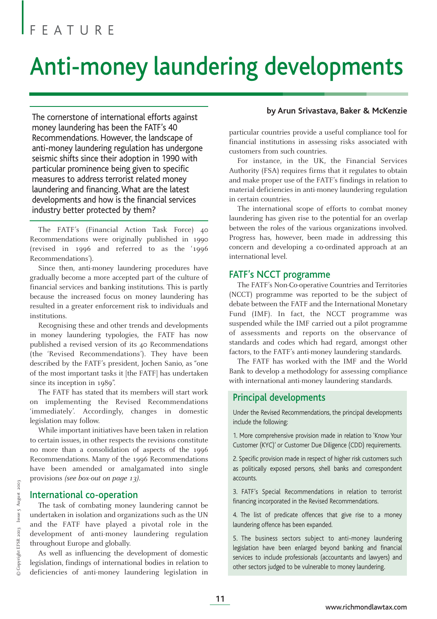# Anti-money laundering developments

The cornerstone of international efforts against money laundering has been the FATF's 40 Recommendations. However, the landscape of anti-money laundering regulation has undergone seismic shifts since their adoption in 1990 with particular prominence being given to specific measures to address terrorist related money laundering and financing. What are the latest developments and how is the financial services industry better protected by them?

The FATF's (Financial Action Task Force) 40 Recommendations were originally published in 1990 (revised in 1996 and referred to as the '1996 Recommendations').

Since then, anti-money laundering procedures have gradually become a more accepted part of the culture of financial services and banking institutions. This is partly because the increased focus on money laundering has resulted in a greater enforcement risk to individuals and institutions.

Recognising these and other trends and developments in money laundering typologies, the FATF has now published a revised version of its 40 Recommendations (the 'Revised Recommendations'). They have been described by the FATF's president, Jochen Sanio, as "one of the most important tasks it [the FATF] has undertaken since its inception in 1989".

The FATF has stated that its members will start work on implementing the Revised Recommendations 'immediately'. Accordingly, changes in domestic legislation may follow.

While important initiatives have been taken in relation to certain issues, in other respects the revisions constitute no more than a consolidation of aspects of the 1996 Recommendations. Many of the 1996 Recommendations have been amended or amalgamated into single provisions *(see box-out on page 13)*.

#### International co-operation

The task of combating money laundering cannot be undertaken in isolation and organizations such as the UN and the FATF have played a pivotal role in the development of anti-money laundering regulation throughout Europe and globally.

As well as influencing the development of domestic legislation, findings of international bodies in relation to deficiencies of anti-money laundering legislation in

#### **by Arun Srivastava, Baker & McKenzie**

particular countries provide a useful compliance tool for financial institutions in assessing risks associated with customers from such countries.

For instance, in the UK, the Financial Services Authority (FSA) requires firms that it regulates to obtain and make proper use of the FATF's findings in relation to material deficiencies in anti-money laundering regulation in certain countries.

The international scope of efforts to combat money laundering has given rise to the potential for an overlap between the roles of the various organizations involved. Progress has, however, been made in addressing this concern and developing a co-ordinated approach at an international level.

#### FATF's NCCT programme

The FATF's Non-Co-operative Countries and Territories (NCCT) programme was reported to be the subject of debate between the FATF and the International Monetary Fund (IMF). In fact, the NCCT programme was suspended while the IMF carried out a pilot programme of assessments and reports on the observance of standards and codes which had regard, amongst other factors, to the FATF's anti-money laundering standards.

The FATF has worked with the IMF and the World Bank to develop a methodology for assessing compliance with international anti-money laundering standards.

#### Principal developments

Under the Revised Recommendations, the principal developments include the following:

1. More comprehensive provision made in relation to 'Know Your Customer (KYC)' or Customer Due Diligence (CDD) requirements.

2. Specific provision made in respect of higher risk customers such as politically exposed persons, shell banks and correspondent accounts.

3. FATF's Special Recommendations in relation to terrorist financing incorporated in the Revised Recommendations.

4. The list of predicate offences that give rise to a money laundering offence has been expanded.

5. The business sectors subject to anti-money laundering legislation have been enlarged beyond banking and financial services to include professionals (accountants and lawyers) and other sectors judged to be vulnerable to money laundering.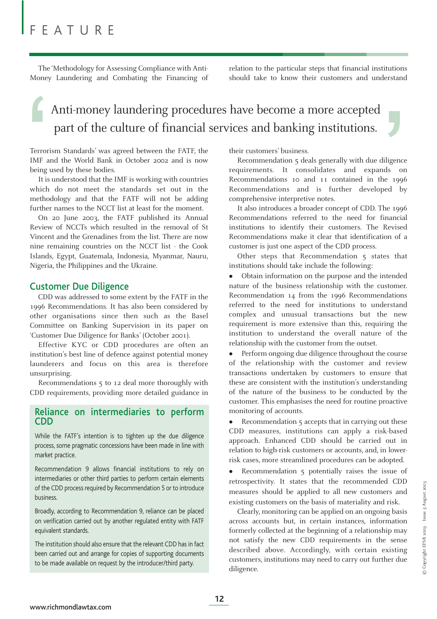The 'Methodology for Assessing Compliance with Anti-Money Laundering and Combating the Financing of relation to the particular steps that financial institutions should take to know their customers and understand

# Anti-money laundering procedures have become a more accepted part of the culture of financial services and banking institutions. Anti-money laundering procedures have become a more accepted<br>part of the culture of financial services and banking institutions.<br>Terrorism Standards' was agreed between the FATF, the their customers' business.<br>IMF and the

Terrorism Standards' was agreed between the FATF, the IMF and the World Bank in October 2002 and is now being used by these bodies.

It is understood that the IMF is working with countries which do not meet the standards set out in the methodology and that the FATF will not be adding further names to the NCCT list at least for the moment.

On 20 June 2003, the FATF published its Annual Review of NCCTs which resulted in the removal of St Vincent and the Grenadines from the list. There are now nine remaining countries on the NCCT list - the Cook Islands, Egypt, Guatemala, Indonesia, Myanmar, Nauru, Nigeria, the Philippines and the Ukraine.

#### Customer Due Diligence

CDD was addressed to some extent by the FATF in the 1996 Recommendations. It has also been considered by other organisations since then such as the Basel Committee on Banking Supervision in its paper on 'Customer Due Diligence for Banks' (October 2001).

Effective KYC or CDD procedures are often an institution's best line of defence against potential money launderers and focus on this area is therefore unsurprising.

Recommendations 5 to 12 deal more thoroughly with CDD requirements, providing more detailed guidance in

#### Reliance on intermediaries to perform CDD

While the FATF's intention is to tighten up the due diligence process, some pragmatic concessions have been made in line with market practice.

Recommendation 9 allows financial institutions to rely on intermediaries or other third parties to perform certain elements of the CDD process required by Recommendation 5 or to introduce business.

Broadly, according to Recommendation 9, reliance can be placed on verification carried out by another regulated entity with FATF equivalent standards.

The institution should also ensure that the relevant CDD has in fact been carried out and arrange for copies of supporting documents to be made available on request by the introducer/third party.

their customers' business.

Recommendation 5 deals generally with due diligence requirements. It consolidates and expands on Recommendations 10 and 11 contained in the 1996 Recommendations and is further developed by comprehensive interpretive notes.

It also introduces a broader concept of CDD. The 1996 Recommendations referred to the need for financial institutions to identify their customers. The Revised Recommendations make it clear that identification of a customer is just one aspect of the CDD process.

Other steps that Recommendation 5 states that institutions should take include the following:

• Obtain information on the purpose and the intended nature of the business relationship with the customer. Recommendation 14 from the 1996 Recommendations referred to the need for institutions to understand complex and unusual transactions but the new requirement is more extensive than this, requiring the institution to understand the overall nature of the relationship with the customer from the outset.

Perform ongoing due diligence throughout the course of the relationship with the customer and review transactions undertaken by customers to ensure that these are consistent with the institution's understanding of the nature of the business to be conducted by the customer. This emphasises the need for routine proactive monitoring of accounts.

• Recommendation 5 accepts that in carrying out these CDD measures, institutions can apply a risk-based approach. Enhanced CDD should be carried out in relation to high-risk customers or accounts, and, in lowerrisk cases, more streamlined procedures can be adopted.

• Recommendation 5 potentially raises the issue of retrospectivity. It states that the recommended CDD measures should be applied to all new customers and existing customers on the basis of materiality and risk.

Clearly, monitoring can be applied on an ongoing basis across accounts but, in certain instances, information formerly collected at the beginning of a relationship may not satisfy the new CDD requirements in the sense described above. Accordingly, with certain existing customers, institutions may need to carry out further due diligence.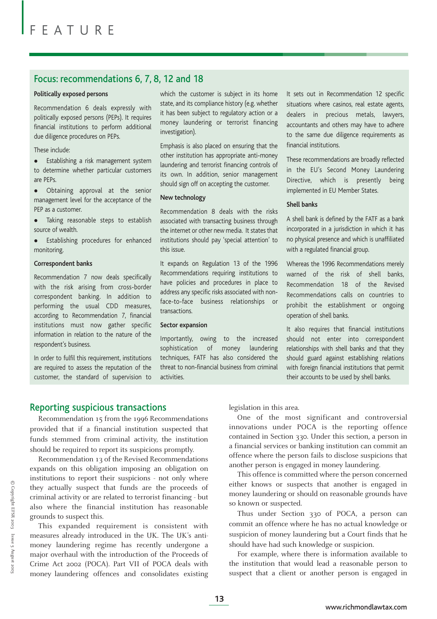#### Focus: recommendations 6, 7, 8, 12 and 18

#### **Politically exposed persons**

Recommendation 6 deals expressly with politically exposed persons (PEPs). It requires financial institutions to perform additional due diligence procedures on PEPs.

These include:

• Establishing a risk management system to determine whether particular customers are PEPs.

" Obtaining approval at the senior management level for the acceptance of the PEP as a customer.

• Taking reasonable steps to establish source of wealth.

• Establishing procedures for enhanced monitoring.

#### **Correspondent banks**

Recommendation 7 now deals specifically with the risk arising from cross-border correspondent banking. In addition to performing the usual CDD measures, according to Recommendation 7, financial institutions must now gather specific information in relation to the nature of the respondent's business.

In order to fulfil this requirement, institutions are required to assess the reputation of the customer, the standard of supervision to which the customer is subject in its home state, and its compliance history (e.g. whether it has been subject to regulatory action or a money laundering or terrorist financing investigation).

Emphasis is also placed on ensuring that the other institution has appropriate anti-money laundering and terrorist financing controls of its own. In addition, senior management should sign off on accepting the customer.

#### **New technology**

Recommendation 8 deals with the risks associated with transacting business through the internet or other new media. It states that institutions should pay 'special attention' to this issue.

It expands on Regulation 13 of the 1996 Recommendations requiring institutions to have policies and procedures in place to address any specific risks associated with nonface-to-face business relationships or transactions.

#### **Sector expansion**

Importantly, owing to the increased sophistication of money laundering techniques, FATF has also considered the threat to non-financial business from criminal activities.

It sets out in Recommendation 12 specific situations where casinos, real estate agents, dealers in precious metals, lawyers, accountants and others may have to adhere to the same due diligence requirements as financial institutions.

These recommendations are broadly reflected in the EU's Second Money Laundering Directive, which is presently being implemented in EU Member States.

#### **Shell banks**

A shell bank is defined by the FATF as a bank incorporated in a jurisdiction in which it has no physical presence and which is unaffiliated with a regulated financial group.

Whereas the 1996 Recommendations merely warned of the risk of shell banks, Recommendation 18 of the Revised Recommendations calls on countries to prohibit the establishment or ongoing operation of shell banks.

It also requires that financial institutions should not enter into correspondent relationships with shell banks and that they should guard against establishing relations with foreign financial institutions that permit their accounts to be used by shell banks.

#### Reporting suspicious transactions

Recommendation 15 from the 1996 Recommendations provided that if a financial institution suspected that funds stemmed from criminal activity, the institution should be required to report its suspicions promptly.

Recommendation 13 of the Revised Recommendations expands on this obligation imposing an obligation on institutions to report their suspicions - not only where they actually suspect that funds are the proceeds of criminal activity or are related to terrorist financing - but also where the financial institution has reasonable grounds to suspect this.

This expanded requirement is consistent with measures already introduced in the UK. The UK's antimoney laundering regime has recently undergone a major overhaul with the introduction of the Proceeds of Crime Act 2002 (POCA). Part VII of POCA deals with money laundering offences and consolidates existing legislation in this area.

One of the most significant and controversial innovations under POCA is the reporting offence contained in Section 330. Under this section, a person in a financial services or banking institution can commit an offence where the person fails to disclose suspicions that another person is engaged in money laundering.

This offence is committed where the person concerned either knows or suspects that another is engaged in money laundering or should on reasonable grounds have so known or suspected.

Thus under Section 330 of POCA, a person can commit an offence where he has no actual knowledge or suspicion of money laundering but a Court finds that he should have had such knowledge or suspicion.

For example, where there is information available to the institution that would lead a reasonable person to suspect that a client or another person is engaged in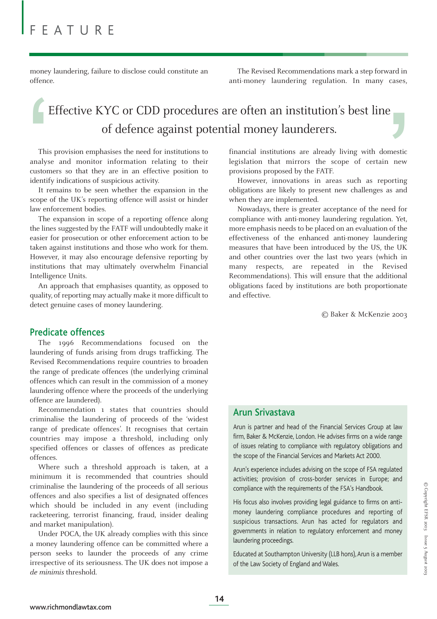money laundering, failure to disclose could constitute an offence.

The Revised Recommendations mark a step forward in anti-money laundering regulation. In many cases,

# Effective KYC or CDD procedures are often an institution's best line of defence against potential money launderers. Effective KYC or CDD procedures are often an institution's best line<br>of defence against potential money launderers.<br>This provision emphasises the need for institutions to<br>analyse and monitor information relating to their<br>c

This provision emphasises the need for institutions to analyse and monitor information relating to their customers so that they are in an effective position to identify indications of suspicious activity.

It remains to be seen whether the expansion in the scope of the UK's reporting offence will assist or hinder law enforcement bodies.

The expansion in scope of a reporting offence along the lines suggested by the FATF will undoubtedly make it easier for prosecution or other enforcement action to be taken against institutions and those who work for them. However, it may also encourage defensive reporting by institutions that may ultimately overwhelm Financial Intelligence Units.

An approach that emphasises quantity, as opposed to quality, of reporting may actually make it more difficult to detect genuine cases of money laundering.

#### Predicate offences

The 1996 Recommendations focused on the laundering of funds arising from drugs trafficking. The Revised Recommendations require countries to broaden the range of predicate offences (the underlying criminal offences which can result in the commission of a money laundering offence where the proceeds of the underlying offence are laundered).

Recommendation 1 states that countries should criminalise the laundering of proceeds of the 'widest range of predicate offences'. It recognises that certain countries may impose a threshold, including only specified offences or classes of offences as predicate offences.

Where such a threshold approach is taken, at a minimum it is recommended that countries should criminalise the laundering of the proceeds of all serious offences and also specifies a list of designated offences which should be included in any event (including racketeering, terrorist financing, fraud, insider dealing and market manipulation).

Under POCA, the UK already complies with this since a money laundering offence can be committed where a person seeks to launder the proceeds of any crime irrespective of its seriousness. The UK does not impose a *de minimis* threshold.

financial institutions are already living with domestic legislation that mirrors the scope of certain new provisions proposed by the FATF.

However, innovations in areas such as reporting obligations are likely to present new challenges as and when they are implemented.

Nowadays, there is greater acceptance of the need for compliance with anti-money laundering regulation. Yet, more emphasis needs to be placed on an evaluation of the effectiveness of the enhanced anti-money laundering measures that have been introduced by the US, the UK and other countries over the last two years (which in many respects, are repeated in the Revised Recommendations). This will ensure that the additional obligations faced by institutions are both proportionate and effective.

© Baker & McKenzie 2003

#### Arun Srivastava

Arun is partner and head of the Financial Services Group at law firm, Baker & McKenzie, London. He advises firms on a wide range of issues relating to compliance with regulatory obligations and the scope of the Financial Services and Markets Act 2000.

Arun's experience includes advising on the scope of FSA regulated activities; provision of cross-border services in Europe; and compliance with the requirements of the FSA's Handbook.

His focus also involves providing legal guidance to firms on antimoney laundering compliance procedures and reporting of suspicious transactions. Arun has acted for regulators and governments in relation to regulatory enforcement and money laundering proceedings.

Educated at Southampton University (LLB hons), Arun is a member of the Law Society of England and Wales.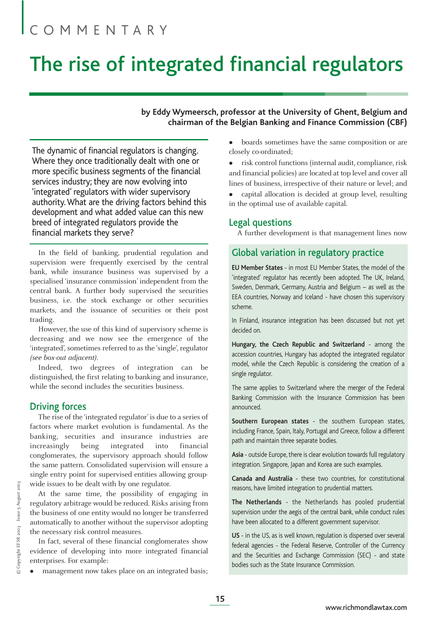# COMMENTARY

# The rise of integrated financial regulators

#### **by Eddy Wymeersch, professor at the University of Ghent, Belgium and chairman of the Belgian Banking and Finance Commission (CBF)**

The dynamic of financial regulators is changing. Where they once traditionally dealt with one or more specific business segments of the financial services industry; they are now evolving into 'integrated' regulators with wider supervisory authority. What are the driving factors behind this development and what added value can this new breed of integrated regulators provide the financial markets they serve?

In the field of banking, prudential regulation and supervision were frequently exercised by the central bank, while insurance business was supervised by a specialised 'insurance commission' independent from the central bank. A further body supervised the securities business, i.e. the stock exchange or other securities markets, and the issuance of securities or their post trading.

However, the use of this kind of supervisory scheme is decreasing and we now see the emergence of the 'integrated', sometimes referred to as the 'single', regulator *(see box-out adjacent)*.

Indeed, two degrees of integration can be distinguished, the first relating to banking and insurance, while the second includes the securities business.

#### Driving forces

The rise of the 'integrated regulator' is due to a series of factors where market evolution is fundamental. As the banking, securities and insurance industries are increasingly being integrated into financial conglomerates, the supervisory approach should follow the same pattern. Consolidated supervision will ensure a single entry point for supervised entities allowing groupwide issues to be dealt with by one regulator.

At the same time, the possibility of engaging in regulatory arbitrage would be reduced. Risks arising from the business of one entity would no longer be transferred automatically to another without the supervisor adopting the necessary risk control measures.

In fact, several of these financial conglomerates show evidence of developing into more integrated financial enterprises. For example:

management now takes place on an integrated basis;

- boards sometimes have the same composition or are closely co-ordinated;
- risk control functions (internal audit, compliance, risk and financial policies) are located at top level and cover all lines of business, irrespective of their nature or level; and
- capital allocation is decided at group level, resulting in the optimal use of available capital.

#### Legal questions

A further development is that management lines now

#### Global variation in regulatory practice

**EU Member States** - in most EU Member States, the model of the 'integrated' regulator has recently been adopted. The UK, Ireland, Sweden, Denmark, Germany, Austria and Belgium – as well as the EEA countries, Norway and Iceland - have chosen this supervisory scheme.

In Finland, insurance integration has been discussed but not yet decided on.

**Hungary, the Czech Republic and Switzerland** - among the accession countries, Hungary has adopted the integrated regulator model, while the Czech Republic is considering the creation of a single regulator.

The same applies to Switzerland where the merger of the Federal Banking Commission with the Insurance Commission has been announced.

**Southern European states** - the southern European states, including France, Spain, Italy, Portugal and Greece, follow a different path and maintain three separate bodies.

**Asia** - outside Europe, there is clear evolution towards full regulatory integration. Singapore, Japan and Korea are such examples.

**Canada and Australia** - these two countries, for constitutional reasons, have limited integration to prudential matters.

**The Netherlands** - the Netherlands has pooled prudential supervision under the aegis of the central bank, while conduct rules have been allocated to a different government supervisor.

**US** - in the US, as is well known, regulation is dispersed over several federal agencies - the Federal Reserve, Controller of the Currency and the Securities and Exchange Commission (SEC) - and state bodies such as the State Insurance Commission.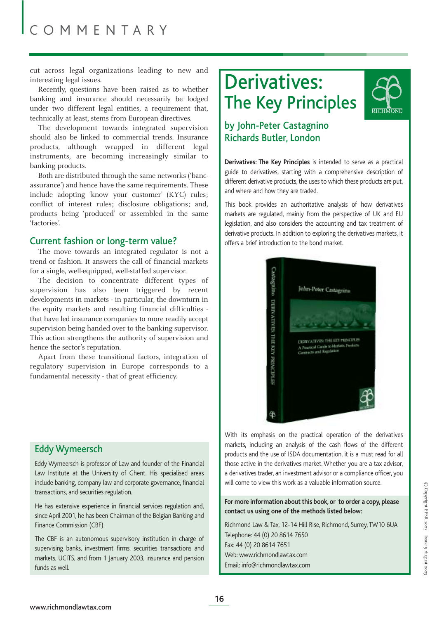cut across legal organizations leading to new and interesting legal issues.

Recently, questions have been raised as to whether banking and insurance should necessarily be lodged under two different legal entities, a requirement that, technically at least, stems from European directives.

The development towards integrated supervision should also be linked to commercial trends. Insurance products, although wrapped in different legal instruments, are becoming increasingly similar to banking products.

Both are distributed through the same networks ('bancassurance') and hence have the same requirements. These include adopting 'know your customer' (KYC) rules; conflict of interest rules; disclosure obligations; and, products being 'produced' or assembled in the same 'factories'.

#### Current fashion or long-term value?

The move towards an integrated regulator is not a trend or fashion. It answers the call of financial markets for a single, well-equipped, well-staffed supervisor.

The decision to concentrate different types of supervision has also been triggered by recent developments in markets - in particular, the downturn in the equity markets and resulting financial difficulties that have led insurance companies to more readily accept supervision being handed over to the banking supervisor. This action strengthens the authority of supervision and hence the sector's reputation.

Apart from these transitional factors, integration of regulatory supervision in Europe corresponds to a fundamental necessity - that of great efficiency.

#### Eddy Wymeersch

Eddy Wymeersch is professor of Law and founder of the Financial Law Institute at the University of Ghent. His specialised areas include banking, company law and corporate governance, financial transactions, and securities regulation.

He has extensive experience in financial services regulation and, since April 2001, he has been Chairman of the Belgian Banking and Finance Commission (CBF).

The CBF is an autonomous supervisory institution in charge of supervising banks, investment firms, securities transactions and markets, UCITS, and from 1 January 2003, insurance and pension funds as well.

# Derivatives: The Key Principles



#### by John-Peter Castagnino Richards Butler, London

**Derivatives: The Key Principles** is intended to serve as a practical guide to derivatives, starting with a comprehensive description of different derivative products, the uses to which these products are put, and where and how they are traded.

This book provides an authoritative analysis of how derivatives markets are regulated, mainly from the perspective of UK and EU legislation, and also considers the accounting and tax treatment of derivative products. In addition to exploring the derivatives markets, it offers a brief introduction to the bond market.



With its emphasis on the practical operation of the derivatives markets, including an analysis of the cash flows of the different products and the use of ISDA documentation, it is a must read for all those active in the derivatives market. Whether you are a tax advisor, a derivatives trader, an investment advisor or a compliance officer, you will come to view this work as a valuable information source.

**For more information about this book, or to order a copy, please contact us using one of the methods listed below:**

Richmond Law & Tax, 12-14 Hill Rise, Richmond, Surrey, TW10 6UA Telephone: 44 (0) 20 8614 7650 Fax: 44 (0) 20 8614 7651 Web: www.richmondlawtax.com Email: info@richmondlawtax.com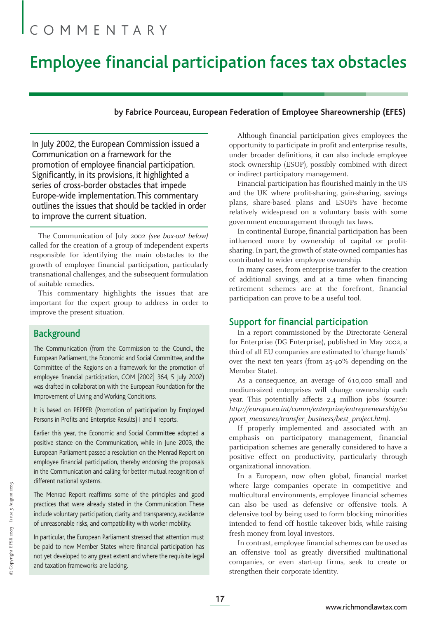# COMMENTARY

## Employee financial participation faces tax obstacles

#### **by Fabrice Pourceau, European Federation of Employee Shareownership (EFES)**

In July 2002, the European Commission issued a Communication on a framework for the promotion of employee financial participation. Significantly, in its provisions, it highlighted a series of cross-border obstacles that impede Europe-wide implementation. This commentary outlines the issues that should be tackled in order to improve the current situation.

The Communication of July 2002 *(see box-out below)* called for the creation of a group of independent experts responsible for identifying the main obstacles to the growth of employee financial participation, particularly transnational challenges, and the subsequent formulation of suitable remedies.

This commentary highlights the issues that are important for the expert group to address in order to improve the present situation.

#### **Background**

The Communication (from the Commission to the Council, the European Parliament, the Economic and Social Committee, and the Committee of the Regions on a framework for the promotion of employee financial participation, COM [2002] 364, 5 July 2002) was drafted in collaboration with the European Foundation for the Improvement of Living and Working Conditions.

It is based on PEPPER (Promotion of participation by Employed Persons in Profits and Enterprise Results) I and II reports.

Earlier this year, the Economic and Social Committee adopted a positive stance on the Communication, while in June 2003, the European Parliament passed a resolution on the Menrad Report on employee financial participation, thereby endorsing the proposals in the Communication and calling for better mutual recognition of different national systems.

The Menrad Report reaffirms some of the principles and good practices that were already stated in the Communication. These include voluntary participation, clarity and transparency, avoidance of unreasonable risks, and compatibility with worker mobility.

In particular, the European Parliament stressed that attention must be paid to new Member States where financial participation has not yet developed to any great extent and where the requisite legal and taxation frameworks are lacking.

Although financial participation gives employees the opportunity to participate in profit and enterprise results, under broader definitions, it can also include employee stock ownership (ESOP), possibly combined with direct or indirect participatory management.

Financial participation has flourished mainly in the US and the UK where profit-sharing, gain-sharing, savings plans, share-based plans and ESOPs have become relatively widespread on a voluntary basis with some government encouragement through tax laws.

In continental Europe, financial participation has been influenced more by ownership of capital or profitsharing. In part, the growth of state-owned companies has contributed to wider employee ownership.

In many cases, from enterprise transfer to the creation of additional savings, and at a time when financing retirement schemes are at the forefront, financial participation can prove to be a useful tool.

#### Support for financial participation

In a report commissioned by the Directorate General for Enterprise (DG Enterprise), published in May 2002, a third of all EU companies are estimated to 'change hands' over the next ten years (from 25-40% depending on the Member State).

As a consequence, an average of 610,000 small and medium-sized enterprises will change ownership each year. This potentially affects 2.4 million jobs *(source: http://europa.eu.int/comm/enterprise/entrepreneurship/su pport\_measures/transfer\_business/best\_project.htm)*.

If properly implemented and associated with an emphasis on participatory management, financial participation schemes are generally considered to have a positive effect on productivity, particularly through organizational innovation.

In a European, now often global, financial market where large companies operate in competitive and multicultural environments, employee financial schemes can also be used as defensive or offensive tools. A defensive tool by being used to form blocking minorities intended to fend off hostile takeover bids, while raising fresh money from loyal investors.

In contrast, employee financial schemes can be used as an offensive tool as greatly diversified multinational companies, or even start-up firms, seek to create or strengthen their corporate identity.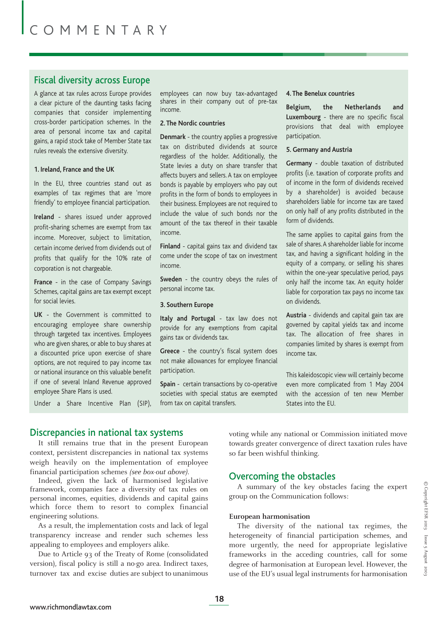#### Fiscal diversity across Europe

A glance at tax rules across Europe provides a clear picture of the daunting tasks facing companies that consider implementing cross-border participation schemes. In the area of personal income tax and capital gains, a rapid stock take of Member State tax rules reveals the extensive diversity.

#### **1. Ireland, France and the UK**

In the EU, three countries stand out as examples of tax regimes that are 'more friendly' to employee financial participation.

**Ireland** - shares issued under approved profit-sharing schemes are exempt from tax income. Moreover, subject to limitation, certain income derived from dividends out of profits that qualify for the 10% rate of corporation is not chargeable.

**France** - in the case of Company Savings Schemes, capital gains are tax exempt except for social levies.

**UK** - the Government is committed to encouraging employee share ownership through targeted tax incentives. Employees who are given shares, or able to buy shares at a discounted price upon exercise of share options, are not required to pay income tax or national insurance on this valuable benefit if one of several Inland Revenue approved employee Share Plans is used.

Under a Share Incentive Plan (SIP),

employees can now buy tax-advantaged shares in their company out of pre-tax income.

#### **2. The Nordic countries**

**Denmark** - the country applies a progressive tax on distributed dividends at source regardless of the holder. Additionally, the State levies a duty on share transfer that affects buyers and sellers. A tax on employee bonds is payable by employers who pay out profits in the form of bonds to employees in their business. Employees are not required to include the value of such bonds nor the amount of the tax thereof in their taxable income.

**Finland** - capital gains tax and dividend tax come under the scope of tax on investment income.

**Sweden** - the country obeys the rules of personal income tax.

#### **3. Southern Europe**

**Italy and Portugal** - tax law does not provide for any exemptions from capital gains tax or dividends tax.

**Greece** - the country's fiscal system does not make allowances for employee financial participation.

**Spain** - certain transactions by co-operative societies with special status are exempted from tax on capital transfers.

#### **4. The Benelux countries**

**Belgium, the Netherlands and Luxembourg** - there are no specific fiscal provisions that deal with employee participation.

#### **5. Germany and Austria**

**Germany** - double taxation of distributed profits (i.e. taxation of corporate profits and of income in the form of dividends received by a shareholder) is avoided because shareholders liable for income tax are taxed on only half of any profits distributed in the form of dividends.

The same applies to capital gains from the sale of shares.A shareholder liable for income tax, and having a significant holding in the equity of a company, or selling his shares within the one-year speculative period, pays only half the income tax. An equity holder liable for corporation tax pays no income tax on dividends.

**Austria** - dividends and capital gain tax are governed by capital yields tax and income tax. The allocation of free shares in companies limited by shares is exempt from income tax.

This kaleidoscopic view will certainly become even more complicated from 1 May 2004 with the accession of ten new Member States into the EU.

#### Discrepancies in national tax systems

It still remains true that in the present European context, persistent discrepancies in national tax systems weigh heavily on the implementation of employee financial participation schemes *(see box-out above)*.

Indeed, given the lack of harmonised legislative framework, companies face a diversity of tax rules on personal incomes, equities, dividends and capital gains which force them to resort to complex financial engineering solutions.

As a result, the implementation costs and lack of legal transparency increase and render such schemes less appealing to employees and employers alike.

Due to Article 93 of the Treaty of Rome (consolidated version), fiscal policy is still a no-go area. Indirect taxes, turnover tax and excise duties are subject to unanimous voting while any national or Commission initiated move towards greater convergence of direct taxation rules have so far been wishful thinking.

#### Overcoming the obstacles

A summary of the key obstacles facing the expert group on the Communication follows:

#### **European harmonisation**

The diversity of the national tax regimes, the heterogeneity of financial participation schemes, and more urgently, the need for appropriate legislative frameworks in the acceding countries, call for some degree of harmonisation at European level. However, the use of the EU's usual legal instruments for harmonisation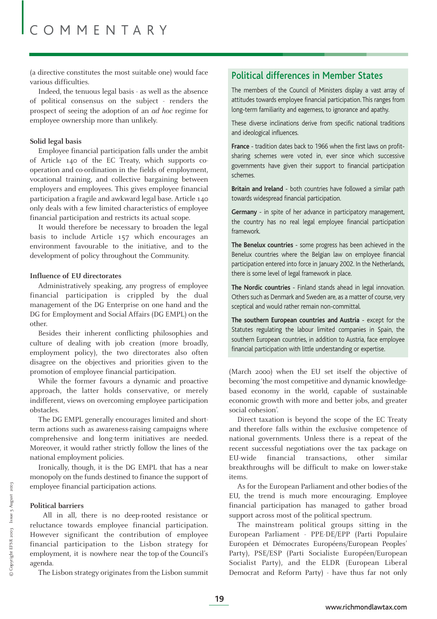(a directive constitutes the most suitable one) would face various difficulties.

Indeed, the tenuous legal basis - as well as the absence of political consensus on the subject - renders the prospect of seeing the adoption of an *ad hoc* regime for employee ownership more than unlikely.

#### **Solid legal basis**

Employee financial participation falls under the ambit of Article 140 of the EC Treaty, which supports cooperation and co-ordination in the fields of employment, vocational training, and collective bargaining between employers and employees. This gives employee financial participation a fragile and awkward legal base. Article 140 only deals with a few limited characteristics of employee financial participation and restricts its actual scope.

It would therefore be necessary to broaden the legal basis to include Article 157 which encourages an environment favourable to the initiative, and to the development of policy throughout the Community.

#### **Influence of EU directorates**

Administratively speaking, any progress of employee financial participation is crippled by the dual management of the DG Enterprise on one hand and the DG for Employment and Social Affairs (DG EMPL) on the other.

Besides their inherent conflicting philosophies and culture of dealing with job creation (more broadly, employment policy), the two directorates also often disagree on the objectives and priorities given to the promotion of employee financial participation.

While the former favours a dynamic and proactive approach, the latter holds conservative, or merely indifferent, views on overcoming employee participation obstacles.

The DG EMPL generally encourages limited and shortterm actions such as awareness-raising campaigns where comprehensive and long-term initiatives are needed. Moreover, it would rather strictly follow the lines of the national employment policies.

Ironically, though, it is the DG EMPL that has a near monopoly on the funds destined to finance the support of employee financial participation actions.

#### **Political barriers**

All in all, there is no deep-rooted resistance or reluctance towards employee financial participation. However significant the contribution of employee financial participation to the Lisbon strategy for employment, it is nowhere near the top of the Council's agenda.

The Lisbon strategy originates from the Lisbon summit

#### Political differences in Member States

The members of the Council of Ministers display a vast array of attitudes towards employee financial participation. This ranges from long-term familiarity and eagerness, to ignorance and apathy.

These diverse inclinations derive from specific national traditions and ideological influences.

**France** - tradition dates back to 1966 when the first laws on profitsharing schemes were voted in, ever since which successive governments have given their support to financial participation schemes.

**Britain and Ireland** - both countries have followed a similar path towards widespread financial participation.

**Germany** - in spite of her advance in participatory management, the country has no real legal employee financial participation framework.

**The Benelux countries** - some progress has been achieved in the Benelux countries where the Belgian law on employee financial participation entered into force in January 2002. In the Netherlands, there is some level of legal framework in place.

**The Nordic countries** - Finland stands ahead in legal innovation. Others such as Denmark and Sweden are, as a matter of course, very sceptical and would rather remain non-committal.

**The southern European countries and Austria** - except for the Statutes regulating the labour limited companies in Spain, the southern European countries, in addition to Austria, face employee financial participation with little understanding or expertise.

(March 2000) when the EU set itself the objective of becoming 'the most competitive and dynamic knowledgebased economy in the world, capable of sustainable economic growth with more and better jobs, and greater social cohesion'.

Direct taxation is beyond the scope of the EC Treaty and therefore falls within the exclusive competence of national governments. Unless there is a repeat of the recent successful negotiations over the tax package on EU-wide financial transactions, other similar breakthroughs will be difficult to make on lower-stake items.

As for the European Parliament and other bodies of the EU, the trend is much more encouraging. Employee financial participation has managed to gather broad support across most of the political spectrum.

The mainstream political groups sitting in the European Parliament - PPE-DE/EPP (Parti Populaire Européen et Démocrates Européens/European Peoples' Party), PSE/ESP (Parti Socialiste Européen/European Socialist Party), and the ELDR (European Liberal Democrat and Reform Party) - have thus far not only